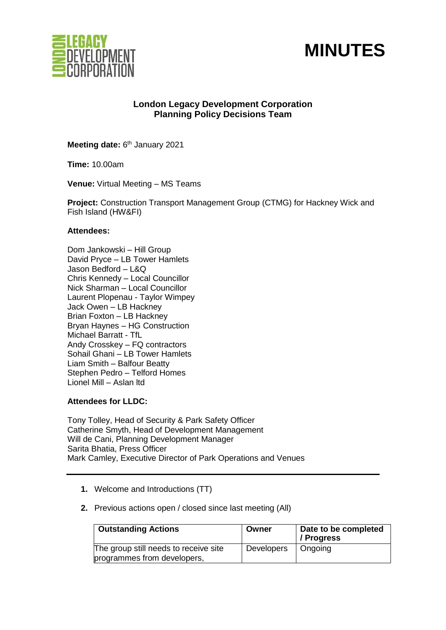



# **London Legacy Development Corporation Planning Policy Decisions Team**

Meeting date: 6<sup>th</sup> January 2021

**Time:** 10.00am

**Venue:** Virtual Meeting – MS Teams

**Project:** Construction Transport Management Group (CTMG) for Hackney Wick and Fish Island (HW&FI)

### **Attendees:**

Dom Jankowski – Hill Group David Pryce – LB Tower Hamlets Jason Bedford – L&Q Chris Kennedy – Local Councillor Nick Sharman – Local Councillor Laurent Plopenau - Taylor Wimpey Jack Owen – LB Hackney Brian Foxton – LB Hackney Bryan Haynes – HG Construction Michael Barratt - TfL Andy Crosskey – FQ contractors Sohail Ghani – LB Tower Hamlets Liam Smith – Balfour Beatty Stephen Pedro – Telford Homes Lionel Mill – Aslan ltd

# **Attendees for LLDC:**

Tony Tolley, Head of Security & Park Safety Officer Catherine Smyth, Head of Development Management Will de Cani, Planning Development Manager Sarita Bhatia, Press Officer Mark Camley, Executive Director of Park Operations and Venues

- **1.** Welcome and Introductions (TT)
- **2.** Previous actions open / closed since last meeting (All)

| <b>Outstanding Actions</b>                                           | Owner             | Date to be completed<br>/ Progress |
|----------------------------------------------------------------------|-------------------|------------------------------------|
| The group still needs to receive site<br>programmes from developers, | <b>Developers</b> | Ongoing                            |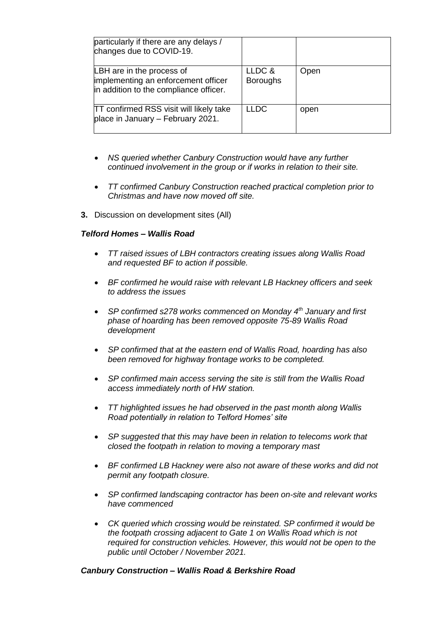| particularly if there are any delays /<br>changes due to COVID-19.                                         |                           |      |
|------------------------------------------------------------------------------------------------------------|---------------------------|------|
| LBH are in the process of<br>implementing an enforcement officer<br>in addition to the compliance officer. | LLDC &<br><b>Boroughs</b> | Open |
| <b>TT confirmed RSS visit will likely take</b><br>place in January - February 2021.                        | <b>LLDC</b>               | open |

- *NS queried whether Canbury Construction would have any further continued involvement in the group or if works in relation to their site.*
- *TT confirmed Canbury Construction reached practical completion prior to Christmas and have now moved off site.*
- **3.** Discussion on development sites (All)

# *Telford Homes – Wallis Road*

- *TT raised issues of LBH contractors creating issues along Wallis Road and requested BF to action if possible.*
- *BF confirmed he would raise with relevant LB Hackney officers and seek to address the issues*
- *SP confirmed s278 works commenced on Monday 4th January and first phase of hoarding has been removed opposite 75-89 Wallis Road development*
- *SP confirmed that at the eastern end of Wallis Road, hoarding has also been removed for highway frontage works to be completed.*
- *SP confirmed main access serving the site is still from the Wallis Road access immediately north of HW station.*
- *TT highlighted issues he had observed in the past month along Wallis Road potentially in relation to Telford Homes' site*
- *SP suggested that this may have been in relation to telecoms work that closed the footpath in relation to moving a temporary mast*
- *BF confirmed LB Hackney were also not aware of these works and did not permit any footpath closure.*
- *SP confirmed landscaping contractor has been on-site and relevant works have commenced*
- *CK queried which crossing would be reinstated. SP confirmed it would be the footpath crossing adjacent to Gate 1 on Wallis Road which is not required for construction vehicles. However, this would not be open to the public until October / November 2021.*

#### *Canbury Construction – Wallis Road & Berkshire Road*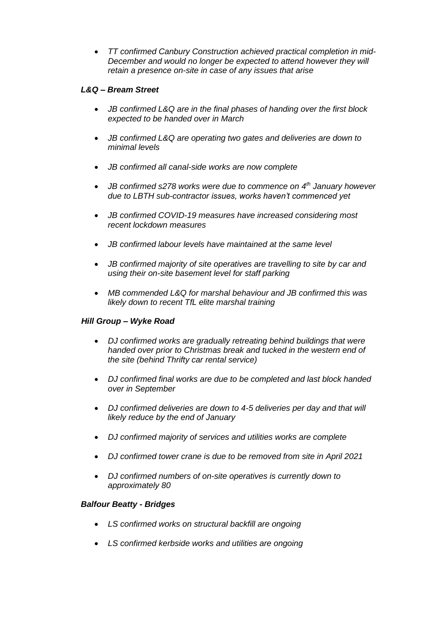• *TT confirmed Canbury Construction achieved practical completion in mid-December and would no longer be expected to attend however they will retain a presence on-site in case of any issues that arise*

# *L&Q – Bream Street*

- *JB confirmed L&Q are in the final phases of handing over the first block expected to be handed over in March*
- *JB confirmed L&Q are operating two gates and deliveries are down to minimal levels*
- *JB confirmed all canal-side works are now complete*
- *JB confirmed s278 works were due to commence on 4th January however due to LBTH sub-contractor issues, works haven't commenced yet*
- *JB confirmed COVID-19 measures have increased considering most recent lockdown measures*
- *JB confirmed labour levels have maintained at the same level*
- *JB confirmed majority of site operatives are travelling to site by car and using their on-site basement level for staff parking*
- *MB commended L&Q for marshal behaviour and JB confirmed this was likely down to recent TfL elite marshal training*

# *Hill Group – Wyke Road*

- *DJ confirmed works are gradually retreating behind buildings that were handed over prior to Christmas break and tucked in the western end of the site (behind Thrifty car rental service)*
- *DJ confirmed final works are due to be completed and last block handed over in September*
- *DJ confirmed deliveries are down to 4-5 deliveries per day and that will likely reduce by the end of January*
- *DJ confirmed majority of services and utilities works are complete*
- *DJ confirmed tower crane is due to be removed from site in April 2021*
- *DJ confirmed numbers of on-site operatives is currently down to approximately 80*

#### *Balfour Beatty - Bridges*

- *LS confirmed works on structural backfill are ongoing*
- *LS confirmed kerbside works and utilities are ongoing*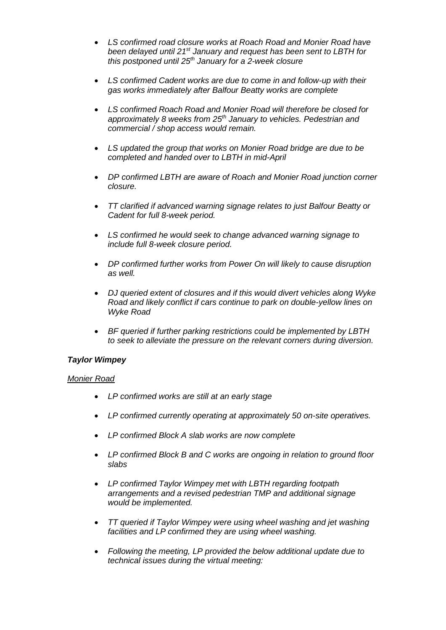- *LS confirmed road closure works at Roach Road and Monier Road have been delayed until 21st January and request has been sent to LBTH for this postponed until 25th January for a 2-week closure*
- *LS confirmed Cadent works are due to come in and follow-up with their gas works immediately after Balfour Beatty works are complete*
- *LS confirmed Roach Road and Monier Road will therefore be closed for approximately 8 weeks from 25th January to vehicles. Pedestrian and commercial / shop access would remain.*
- *LS updated the group that works on Monier Road bridge are due to be completed and handed over to LBTH in mid-April*
- *DP confirmed LBTH are aware of Roach and Monier Road junction corner closure.*
- *TT clarified if advanced warning signage relates to just Balfour Beatty or Cadent for full 8-week period.*
- *LS confirmed he would seek to change advanced warning signage to include full 8-week closure period.*
- *DP confirmed further works from Power On will likely to cause disruption as well.*
- *DJ queried extent of closures and if this would divert vehicles along Wyke Road and likely conflict if cars continue to park on double-yellow lines on Wyke Road*
- *BF queried if further parking restrictions could be implemented by LBTH to seek to alleviate the pressure on the relevant corners during diversion.*

# *Taylor Wimpey*

#### *Monier Road*

- *LP confirmed works are still at an early stage*
- *LP confirmed currently operating at approximately 50 on-site operatives.*
- *LP confirmed Block A slab works are now complete*
- *LP confirmed Block B and C works are ongoing in relation to ground floor slabs*
- *LP confirmed Taylor Wimpey met with LBTH regarding footpath arrangements and a revised pedestrian TMP and additional signage would be implemented.*
- *TT queried if Taylor Wimpey were using wheel washing and jet washing facilities and LP confirmed they are using wheel washing.*
- *Following the meeting, LP provided the below additional update due to technical issues during the virtual meeting:*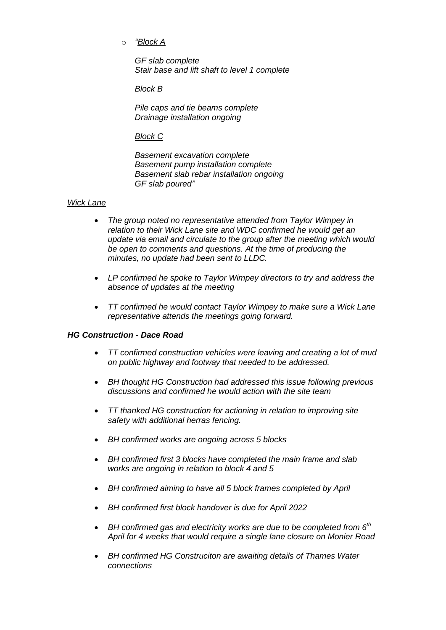o *"Block A* 

*GF slab complete Stair base and lift shaft to level 1 complete* 

*Block B*

*Pile caps and tie beams complete Drainage installation ongoing* 

# *Block C*

*Basement excavation complete Basement pump installation complete Basement slab rebar installation ongoing GF slab poured"*

### *Wick Lane*

- *The group noted no representative attended from Taylor Wimpey in relation to their Wick Lane site and WDC confirmed he would get an update via email and circulate to the group after the meeting which would be open to comments and questions. At the time of producing the minutes, no update had been sent to LLDC.*
- *LP confirmed he spoke to Taylor Wimpey directors to try and address the absence of updates at the meeting*
- *TT confirmed he would contact Taylor Wimpey to make sure a Wick Lane representative attends the meetings going forward.*

# *HG Construction - Dace Road*

- *TT confirmed construction vehicles were leaving and creating a lot of mud on public highway and footway that needed to be addressed.*
- *BH thought HG Construction had addressed this issue following previous discussions and confirmed he would action with the site team*
- *TT thanked HG construction for actioning in relation to improving site safety with additional herras fencing.*
- *BH confirmed works are ongoing across 5 blocks*
- *BH confirmed first 3 blocks have completed the main frame and slab works are ongoing in relation to block 4 and 5*
- *BH confirmed aiming to have all 5 block frames completed by April*
- *BH confirmed first block handover is due for April 2022*
- *BH confirmed gas and electricity works are due to be completed from 6th April for 4 weeks that would require a single lane closure on Monier Road*
- *BH confirmed HG Construciton are awaiting details of Thames Water connections*